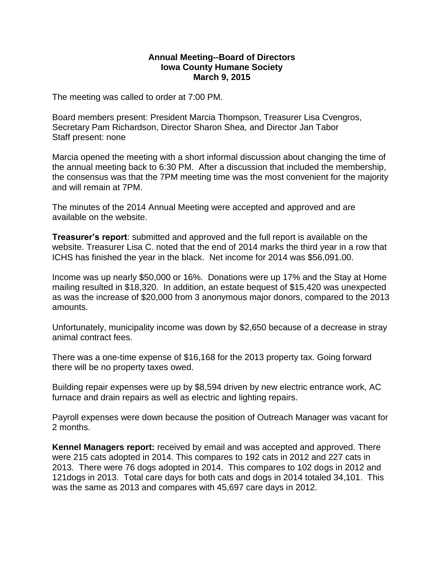## **Annual Meeting--Board of Directors Iowa County Humane Society March 9, 2015**

The meeting was called to order at 7:00 PM.

Board members present: President Marcia Thompson, Treasurer Lisa Cvengros, Secretary Pam Richardson, Director Sharon Shea, and Director Jan Tabor Staff present: none

Marcia opened the meeting with a short informal discussion about changing the time of the annual meeting back to 6:30 PM. After a discussion that included the membership, the consensus was that the 7PM meeting time was the most convenient for the majority and will remain at 7PM.

The minutes of the 2014 Annual Meeting were accepted and approved and are available on the website.

**Treasurer's report**: submitted and approved and the full report is available on the website. Treasurer Lisa C. noted that the end of 2014 marks the third year in a row that ICHS has finished the year in the black. Net income for 2014 was \$56,091.00.

Income was up nearly \$50,000 or 16%. Donations were up 17% and the Stay at Home mailing resulted in \$18,320. In addition, an estate bequest of \$15,420 was unexpected as was the increase of \$20,000 from 3 anonymous major donors, compared to the 2013 amounts.

Unfortunately, municipality income was down by \$2,650 because of a decrease in stray animal contract fees.

There was a one-time expense of \$16,168 for the 2013 property tax. Going forward there will be no property taxes owed.

Building repair expenses were up by \$8,594 driven by new electric entrance work, AC furnace and drain repairs as well as electric and lighting repairs.

Payroll expenses were down because the position of Outreach Manager was vacant for 2 months.

**Kennel Managers report:** received by email and was accepted and approved. There were 215 cats adopted in 2014. This compares to 192 cats in 2012 and 227 cats in 2013. There were 76 dogs adopted in 2014. This compares to 102 dogs in 2012 and 121dogs in 2013. Total care days for both cats and dogs in 2014 totaled 34,101. This was the same as 2013 and compares with 45,697 care days in 2012.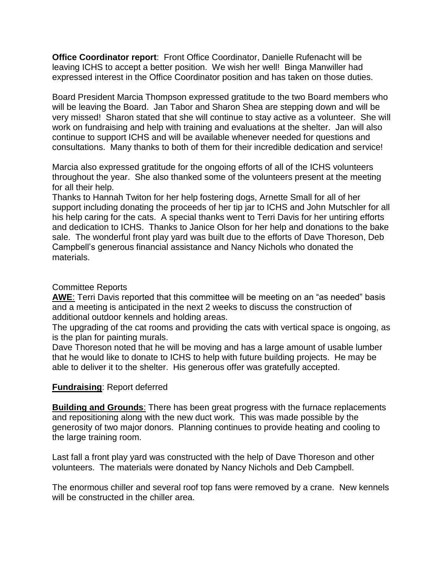**Office Coordinator report**: Front Office Coordinator, Danielle Rufenacht will be leaving ICHS to accept a better position. We wish her well! Binga Manwiller had expressed interest in the Office Coordinator position and has taken on those duties.

Board President Marcia Thompson expressed gratitude to the two Board members who will be leaving the Board. Jan Tabor and Sharon Shea are stepping down and will be very missed! Sharon stated that she will continue to stay active as a volunteer. She will work on fundraising and help with training and evaluations at the shelter. Jan will also continue to support ICHS and will be available whenever needed for questions and consultations. Many thanks to both of them for their incredible dedication and service!

Marcia also expressed gratitude for the ongoing efforts of all of the ICHS volunteers throughout the year. She also thanked some of the volunteers present at the meeting for all their help.

Thanks to Hannah Twiton for her help fostering dogs, Arnette Small for all of her support including donating the proceeds of her tip jar to ICHS and John Mutschler for all his help caring for the cats. A special thanks went to Terri Davis for her untiring efforts and dedication to ICHS. Thanks to Janice Olson for her help and donations to the bake sale. The wonderful front play yard was built due to the efforts of Dave Thoreson, Deb Campbell's generous financial assistance and Nancy Nichols who donated the materials.

## Committee Reports

**AWE**: Terri Davis reported that this committee will be meeting on an "as needed" basis and a meeting is anticipated in the next 2 weeks to discuss the construction of additional outdoor kennels and holding areas.

The upgrading of the cat rooms and providing the cats with vertical space is ongoing, as is the plan for painting murals.

Dave Thoreson noted that he will be moving and has a large amount of usable lumber that he would like to donate to ICHS to help with future building projects. He may be able to deliver it to the shelter. His generous offer was gratefully accepted.

## **Fundraising**: Report deferred

**Building and Grounds**: There has been great progress with the furnace replacements and repositioning along with the new duct work. This was made possible by the generosity of two major donors. Planning continues to provide heating and cooling to the large training room.

Last fall a front play yard was constructed with the help of Dave Thoreson and other volunteers. The materials were donated by Nancy Nichols and Deb Campbell.

The enormous chiller and several roof top fans were removed by a crane. New kennels will be constructed in the chiller area.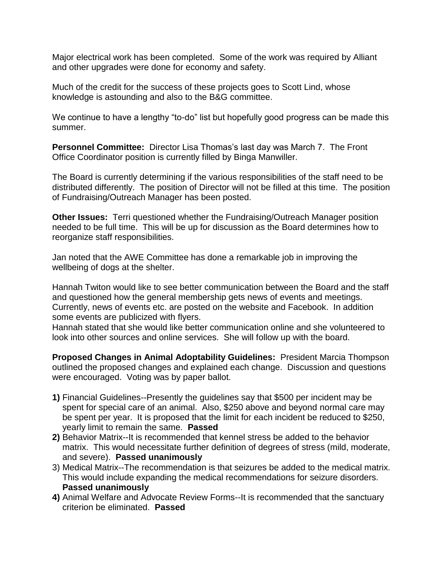Major electrical work has been completed. Some of the work was required by Alliant and other upgrades were done for economy and safety.

Much of the credit for the success of these projects goes to Scott Lind, whose knowledge is astounding and also to the B&G committee.

We continue to have a lengthy "to-do" list but hopefully good progress can be made this summer.

**Personnel Committee:** Director Lisa Thomas's last day was March 7. The Front Office Coordinator position is currently filled by Binga Manwiller.

The Board is currently determining if the various responsibilities of the staff need to be distributed differently. The position of Director will not be filled at this time. The position of Fundraising/Outreach Manager has been posted.

**Other Issues:** Terri questioned whether the Fundraising/Outreach Manager position needed to be full time. This will be up for discussion as the Board determines how to reorganize staff responsibilities.

Jan noted that the AWE Committee has done a remarkable job in improving the wellbeing of dogs at the shelter.

Hannah Twiton would like to see better communication between the Board and the staff and questioned how the general membership gets news of events and meetings. Currently, news of events etc. are posted on the website and Facebook. In addition some events are publicized with flyers.

Hannah stated that she would like better communication online and she volunteered to look into other sources and online services. She will follow up with the board.

**Proposed Changes in Animal Adoptability Guidelines:** President Marcia Thompson outlined the proposed changes and explained each change. Discussion and questions were encouraged. Voting was by paper ballot.

- **1)** Financial Guidelines--Presently the guidelines say that \$500 per incident may be spent for special care of an animal. Also, \$250 above and beyond normal care may be spent per year. It is proposed that the limit for each incident be reduced to \$250, yearly limit to remain the same. **Passed**
- **2)** Behavior Matrix--It is recommended that kennel stress be added to the behavior matrix. This would necessitate further definition of degrees of stress (mild, moderate, and severe). **Passed unanimously**
- 3) Medical Matrix--The recommendation is that seizures be added to the medical matrix. This would include expanding the medical recommendations for seizure disorders. **Passed unanimously**
- **4)** Animal Welfare and Advocate Review Forms--It is recommended that the sanctuary criterion be eliminated. **Passed**